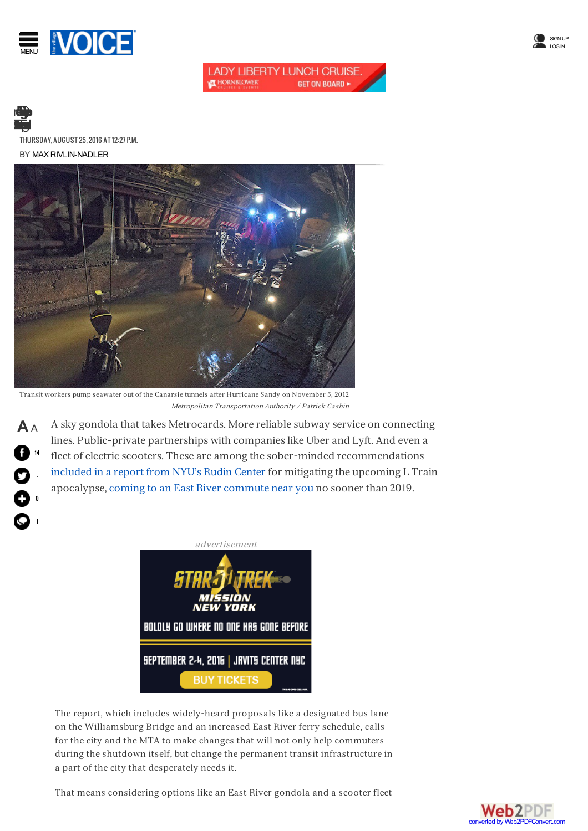



## **LADY LIBERTY LUNCH CRUISE. THORNBLOWER GET ON BOARD ►**

**A**<sup>A</sup>

14

-

0

1

BY MAX RIVLIN-NADLER [THURSDAY,AUGUST25,2016AT12:27P](/arts).M.



Transit workers pump seawater out of the Canarsie tunnels after Hurricane Sandy on November 5, 2012 Metropolitan Transportation Authority / Patrick Cashin

A sky gondola that takes Metrocards. More reliable subway service on connecting lines. Public-private partnerships with companieslike Uber and Lyft. And even a fleet of electric scooters. These are among the sober-minded recommendations [included](http://wagner.nyu.edu/rudincenter/2016/08/l-train-closure-and-mitigation/) in a report from NYU's Rudin Center for mitigating the upcoming L Train apocalypse, coming to an East River [commute](/news/l-train-between-manhattan-and-brooklyn-will-shut-down-for-18-months-in-2019-8901860) near you no sooner than 2019.



The report, which includes widely-heard proposals like a designated bus lane on the Williamsburg Bridge and an increased East River ferry schedule, calls for the city and the MTA to make changes that will not only help commuters during the shutdown itself, but change the permanent transit infrastructure in a part of the city that desperately needs it.

That means considering options like an East River gondola and a scooter fleet